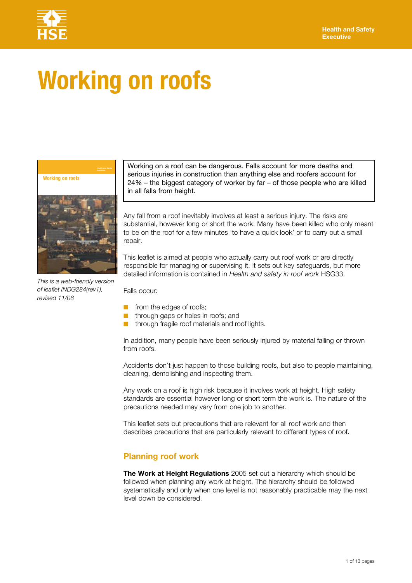

# **Working on roofs**



*This is a web-friendly version of leaflet INDG284(rev1), revised 11/08* 

Working on a roof can be dangerous. Falls account for more deaths and serious injuries in construction than anything else and roofers account for 24% – the biggest category of worker by far – of those people who are killed in all falls from height.

Any fall from a roof inevitably involves at least a serious injury. The risks are substantial, however long or short the work. Many have been killed who only meant to be on the roof for a few minutes 'to have a quick look' or to carry out a small repair.

This leaflet is aimed at people who actually carry out roof work or are directly responsible for managing or supervising it. It sets out key safeguards, but more detailed information is contained in *Health and safety in roof work* HSG33.

Falls occur:

- from the edges of roofs;
- through gaps or holes in roofs; and
- through fragile roof materials and roof lights.

In addition, many people have been seriously injured by material falling or thrown from roofs.

Accidents don't just happen to those building roofs, but also to people maintaining, cleaning, demolishing and inspecting them.

Any work on a roof is high risk because it involves work at height. High safety standards are essential however long or short term the work is. The nature of the precautions needed may vary from one job to another.

This leaflet sets out precautions that are relevant for all roof work and then describes precautions that are particularly relevant to different types of roof.

#### **Planning roof work**

**The Work at Height Regulations** 2005 set out a hierarchy which should be followed when planning any work at height. The hierarchy should be followed systematically and only when one level is not reasonably practicable may the next level down be considered.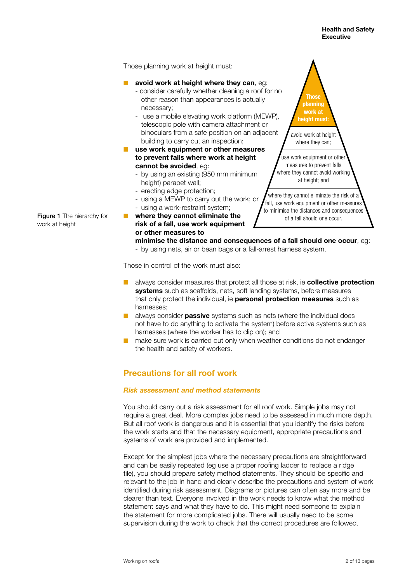Those planning work at height must:

#### avoid work at height where they can, eq:

- consider carefully whether cleaning a roof for no other reason than appearances is actually necessary;
- use a mobile elevating work platform (MEWP), telescopic pole with camera attachment or binoculars from a safe position on an adjacent building to carry out an inspection;
- **use work equipment or other measures to prevent falls where work at height cannot be avoided**, eg:
	- by using an existing (950 mm minimum height) parapet wall:
	- erecting edge protection;
	- using a MEWP to carry out the work; or - using a work-restraint system;
- Figure 1 The hierarchy for **where they cannot eliminate the**  work at height **risk of a fall, use work equipment or other measures to**



of a fall should one occur.

- **minimise the distance and consequences of a fall should one occur**, eg:
- by using nets, air or bean bags or a fall-arrest harness system.

Those in control of the work must also:

- **E** always consider measures that protect all those at risk, ie **collective protection systems** such as scaffolds, nets, soft landing systems, before measures that only protect the individual, ie **personal protection measures** such as harnesses;
- always consider **passive** systems such as nets (where the individual does not have to do anything to activate the system) before active systems such as harnesses (where the worker has to clip on); and
- make sure work is carried out only when weather conditions do not endanger the health and safety of workers.

# **Precautions for all roof work**

#### *Risk assessment and method statements*

You should carry out a risk assessment for all roof work. Simple jobs may not require a great deal. More complex jobs need to be assessed in much more depth. But all roof work is dangerous and it is essential that you identify the risks before the work starts and that the necessary equipment, appropriate precautions and systems of work are provided and implemented.

Except for the simplest jobs where the necessary precautions are straightforward and can be easily repeated (eg use a proper roofing ladder to replace a ridge tile), you should prepare safety method statements. They should be specific and relevant to the job in hand and clearly describe the precautions and system of work identified during risk assessment. Diagrams or pictures can often say more and be clearer than text. Everyone involved in the work needs to know what the method statement says and what they have to do. This might need someone to explain the statement for more complicated jobs. There will usually need to be some supervision during the work to check that the correct procedures are followed.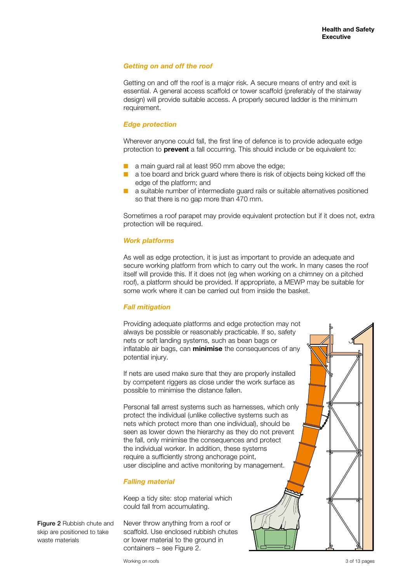#### *Getting on and off the roof*

Getting on and off the roof is a major risk. A secure means of entry and exit is essential. A general access scaffold or tower scaffold (preferably of the stairway design) will provide suitable access. A properly secured ladder is the minimum requirement.

#### *Edge protection*

Wherever anyone could fall, the first line of defence is to provide adequate edge protection to **prevent** a fall occurring. This should include or be equivalent to:

- a main guard rail at least 950 mm above the edge;
- a toe board and brick guard where there is risk of objects being kicked off the edge of the platform; and
- a suitable number of intermediate guard rails or suitable alternatives positioned so that there is no gap more than 470 mm.

Sometimes a roof parapet may provide equivalent protection but if it does not, extra protection will be required.

### *Work platforms*

As well as edge protection, it is just as important to provide an adequate and secure working platform from which to carry out the work. In many cases the roof itself will provide this. If it does not (eg when working on a chimney on a pitched roof), a platform should be provided. If appropriate, a MEWP may be suitable for some work where it can be carried out from inside the basket.

#### *Fall mitigation*

inflatable air bags, can **minimise** the consequences of any Providing adequate platforms and edge protection may not always be possible or reasonably practicable. If so, safety nets or soft landing systems, such as bean bags or potential injury.

If nets are used make sure that they are properly installed by competent riggers as close under the work surface as possible to minimise the distance fallen.

Personal fall arrest systems such as harnesses, which only protect the individual (unlike collective systems such as nets which protect more than one individual), should be seen as lower down the hierarchy as they do not prevent the fall, only minimise the consequences and protect the individual worker. In addition, these systems require a sufficiently strong anchorage point, user discipline and active monitoring by management.

#### *Falling material*

Keep a tidy site: stop material which could fall from accumulating.

Never throw anything from a roof or scaffold. Use enclosed rubbish chutes or lower material to the ground in containers – see Figure 2.

Figure 2 Rubbish chute and skip are positioned to take waste materials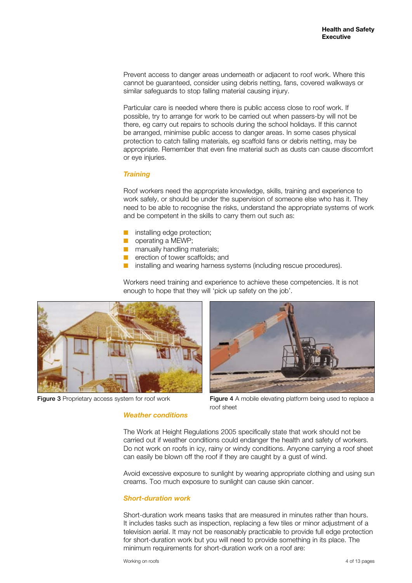Prevent access to danger areas underneath or adjacent to roof work. Where this cannot be guaranteed, consider using debris netting, fans, covered walkways or similar safeguards to stop falling material causing injury.

Particular care is needed where there is public access close to roof work. If possible, try to arrange for work to be carried out when passers-by will not be there, eg carry out repairs to schools during the school holidays. If this cannot be arranged, minimise public access to danger areas. In some cases physical protection to catch falling materials, eg scaffold fans or debris netting, may be appropriate. Remember that even fine material such as dusts can cause discomfort or eye injuries.

#### *Training*

Roof workers need the appropriate knowledge, skills, training and experience to work safely, or should be under the supervision of someone else who has it. They need to be able to recognise the risks, understand the appropriate systems of work and be competent in the skills to carry them out such as:

- **■** installing edge protection:
- operating a MEWP:
- manually handling materials:
- erection of tower scaffolds; and
- installing and wearing harness systems (including rescue procedures).

Workers need training and experience to achieve these competencies. It is not enough to hope that they will 'pick up safety on the job'.



Figure 3 Proprietary access system for roof work Figure 4 A mobile elevating platform being used to replace a roof sheet

#### *Weather conditions*

The Work at Height Regulations 2005 specifically state that work should not be carried out if weather conditions could endanger the health and safety of workers. Do not work on roofs in icy, rainy or windy conditions. Anyone carrying a roof sheet can easily be blown off the roof if they are caught by a gust of wind.

Avoid excessive exposure to sunlight by wearing appropriate clothing and using sun creams. Too much exposure to sunlight can cause skin cancer.

#### *Short-duration work*

Short-duration work means tasks that are measured in minutes rather than hours. It includes tasks such as inspection, replacing a few tiles or minor adjustment of a television aerial. It may not be reasonably practicable to provide full edge protection for short-duration work but you will need to provide something in its place. The minimum requirements for short-duration work on a roof are: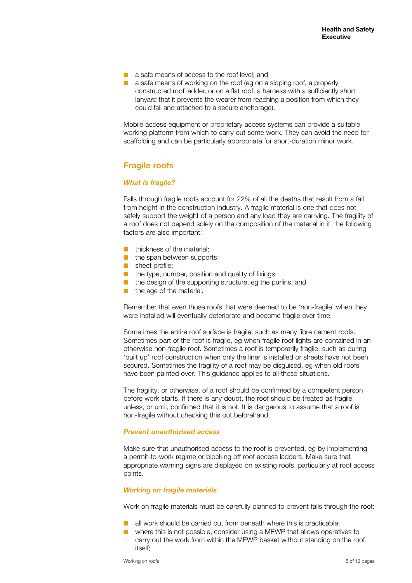- a safe means of access to the roof level; and
- a safe means of working on the roof (eg on a sloping roof, a properly constructed roof ladder, or on a flat roof, a harness with a sufficiently short lanyard that it prevents the wearer from reaching a position from which they could fall and attached to a secure anchorage).

Mobile access equipment or proprietary access systems can provide a suitable working platform from which to carry out some work. They can avoid the need for scaffolding and can be particularly appropriate for short-duration minor work.

# **Fragile roofs**

#### *What is fragile?*

Falls through fragile roofs account for 22% of all the deaths that result from a fall from height in the construction industry. A fragile material is one that does not safely support the weight of a person and any load they are carrying. The fragility of a roof does not depend solely on the composition of the material in it, the following factors are also important:

- thickness of the material:
- the span between supports:
- sheet profile;
- the type, number, position and quality of fixings;
- the design of the supporting structure, eg the purlins; and
- the age of the material.

Remember that even those roofs that were deemed to be 'non-fragile' when they were installed will eventually deteriorate and become fragile over time.

Sometimes the entire roof surface is fragile, such as many fibre cement roofs. Sometimes part of the roof is fragile, eg when fragile roof lights are contained in an otherwise non-fragile roof. Sometimes a roof is temporarily fragile, such as during 'built up' roof construction when only the liner is installed or sheets have not been secured. Sometimes the fragility of a roof may be disguised, eg when old roofs have been painted over. This guidance applies to all these situations.

The fragility, or otherwise, of a roof should be confirmed by a competent person before work starts. If there is any doubt, the roof should be treated as fragile unless, or until, confirmed that it is not. It is dangerous to assume that a roof is non-fragile without checking this out beforehand.

#### *Prevent unauthorised access*

Make sure that unauthorised access to the roof is prevented, eg by implementing a permit-to-work regime or blocking off roof access ladders. Make sure that appropriate warning signs are displayed on existing roofs, particularly at roof access points.

#### *Working on fragile materials*

Work on fragile materials must be carefully planned to prevent falls through the roof:

- all work should be carried out from beneath where this is practicable;
- where this is not possible, consider using a MEWP that allows operatives to carry out the work from within the MEWP basket without standing on the roof itself;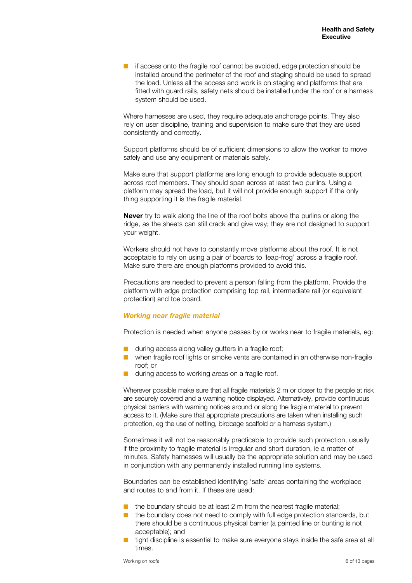■ if access onto the fragile roof cannot be avoided, edge protection should be installed around the perimeter of the roof and staging should be used to spread the load. Unless all the access and work is on staging and platforms that are fitted with guard rails, safety nets should be installed under the roof or a harness system should be used.

Where harnesses are used, they require adequate anchorage points. They also rely on user discipline, training and supervision to make sure that they are used consistently and correctly.

Support platforms should be of sufficient dimensions to allow the worker to move safely and use any equipment or materials safely.

Make sure that support platforms are long enough to provide adequate support across roof members. They should span across at least two purlins. Using a platform may spread the load, but it will not provide enough support if the only thing supporting it is the fragile material.

**Never** try to walk along the line of the roof bolts above the purlins or along the ridge, as the sheets can still crack and give way; they are not designed to support your weight.

Workers should not have to constantly move platforms about the roof. It is not acceptable to rely on using a pair of boards to 'leap-frog' across a fragile roof. Make sure there are enough platforms provided to avoid this.

Precautions are needed to prevent a person falling from the platform. Provide the platform with edge protection comprising top rail, intermediate rail (or equivalent protection) and toe board.

#### *Working near fragile material*

Protection is needed when anyone passes by or works near to fragile materials, eg:

- during access along valley gutters in a fragile roof;
- when fragile roof lights or smoke vents are contained in an otherwise non-fragile roof; or
- during access to working areas on a fragile roof.

Wherever possible make sure that all fragile materials 2 m or closer to the people at risk are securely covered and a warning notice displayed. Alternatively, provide continuous physical barriers with warning notices around or along the fragile material to prevent access to it. (Make sure that appropriate precautions are taken when installing such protection, eg the use of netting, birdcage scaffold or a harness system.)

Sometimes it will not be reasonably practicable to provide such protection, usually if the proximity to fragile material is irregular and short duration, ie a matter of minutes. Safety harnesses will usually be the appropriate solution and may be used in conjunction with any permanently installed running line systems.

Boundaries can be established identifying 'safe' areas containing the workplace and routes to and from it. If these are used:

- $\blacksquare$  the boundary should be at least 2 m from the nearest fragile material;
- the boundary does not need to comply with full edge protection standards, but there should be a continuous physical barrier (a painted line or bunting is not acceptable); and
- tight discipline is essential to make sure everyone stays inside the safe area at all times.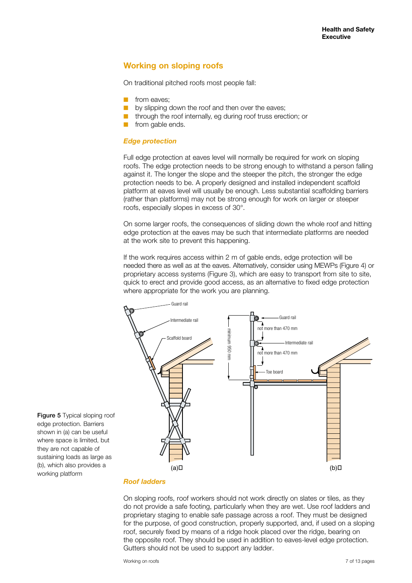# **Working on sloping roofs**

On traditional pitched roofs most people fall:

- from eaves:
- by slipping down the roof and then over the eaves;
- through the roof internally, eg during roof truss erection; or
- from gable ends.

#### *Edge protection*

Full edge protection at eaves level will normally be required for work on sloping roofs. The edge protection needs to be strong enough to withstand a person falling against it. The longer the slope and the steeper the pitch, the stronger the edge protection needs to be. A properly designed and installed independent scaffold platform at eaves level will usually be enough. Less substantial scaffolding barriers (rather than platforms) may not be strong enough for work on larger or steeper roofs, especially slopes in excess of 30°.

On some larger roofs, the consequences of sliding down the whole roof and hitting edge protection at the eaves may be such that intermediate platforms are needed at the work site to prevent this happening.

If the work requires access within 2 m of gable ends, edge protection will be needed there as well as at the eaves. Alternatively, consider using MEWPs (Figure 4) or proprietary access systems (Figure 3), which are easy to transport from site to site, quick to erect and provide good access, as an alternative to fixed edge protection where appropriate for the work you are planning.



#### *Roof ladders*

Figure 5 Typical sloping roof edge protection. Barriers shown in (a) can be useful where space is limited, but they are not capable of sustaining loads as large as (b), which also provides a

working platform

On sloping roofs, roof workers should not work directly on slates or tiles, as they do not provide a safe footing, particularly when they are wet. Use roof ladders and proprietary staging to enable safe passage across a roof. They must be designed for the purpose, of good construction, properly supported, and, if used on a sloping roof, securely fixed by means of a ridge hook placed over the ridge, bearing on the opposite roof. They should be used in addition to eaves-level edge protection. Gutters should not be used to support any ladder.

Working on roofs 7 of 13 pages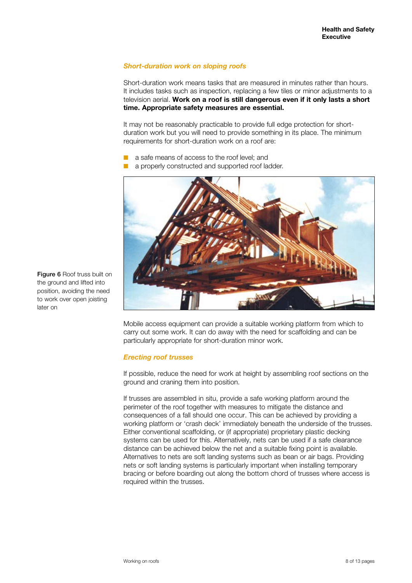#### *Short-duration work on sloping roofs*

Short-duration work means tasks that are measured in minutes rather than hours. It includes tasks such as inspection, replacing a few tiles or minor adjustments to a television aerial. **Work on a roof is still dangerous even if it only lasts a short time. Appropriate safety measures are essential.** 

It may not be reasonably practicable to provide full edge protection for shortduration work but you will need to provide something in its place. The minimum requirements for short-duration work on a roof are:

- a safe means of access to the roof level; and
- a properly constructed and supported roof ladder.



Mobile access equipment can provide a suitable working platform from which to carry out some work. It can do away with the need for scaffolding and can be particularly appropriate for short-duration minor work.

#### *Erecting roof trusses*

If possible, reduce the need for work at height by assembling roof sections on the ground and craning them into position.

If trusses are assembled in situ, provide a safe working platform around the perimeter of the roof together with measures to mitigate the distance and consequences of a fall should one occur. This can be achieved by providing a working platform or 'crash deck' immediately beneath the underside of the trusses. Either conventional scaffolding, or (if appropriate) proprietary plastic decking systems can be used for this. Alternatively, nets can be used if a safe clearance distance can be achieved below the net and a suitable fixing point is available. Alternatives to nets are soft landing systems such as bean or air bags. Providing nets or soft landing systems is particularly important when installing temporary bracing or before boarding out along the bottom chord of trusses where access is required within the trusses.

Figure 6 Roof truss built on the ground and lifted into position, avoiding the need to work over open joisting later on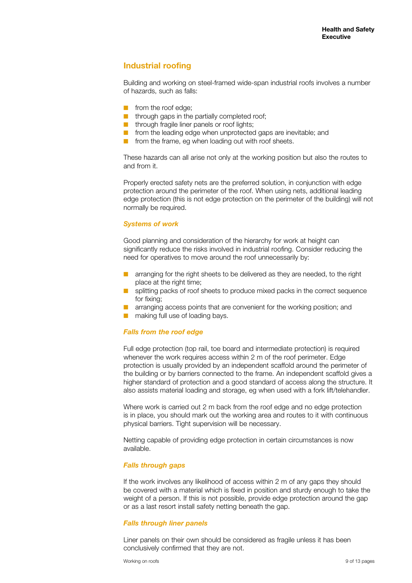# **Industrial roofing**

Building and working on steel-framed wide-span industrial roofs involves a number of hazards, such as falls:

- from the roof edge:
- through gaps in the partially completed roof;
- **■** through fragile liner panels or roof lights:
- from the leading edge when unprotected gaps are inevitable; and
- from the frame, eg when loading out with roof sheets.

These hazards can all arise not only at the working position but also the routes to and from it.

Properly erected safety nets are the preferred solution, in conjunction with edge protection around the perimeter of the roof. When using nets, additional leading edge protection (this is not edge protection on the perimeter of the building) will not normally be required.

#### *Systems of work*

Good planning and consideration of the hierarchy for work at height can significantly reduce the risks involved in industrial roofing. Consider reducing the need for operatives to move around the roof unnecessarily by:

- arranging for the right sheets to be delivered as they are needed, to the right place at the right time;
- splitting packs of roof sheets to produce mixed packs in the correct sequence for fixing;
- arranging access points that are convenient for the working position; and
- making full use of loading bays.

#### *Falls from the roof edge*

Full edge protection (top rail, toe board and intermediate protection) is required whenever the work requires access within 2 m of the roof perimeter. Edge protection is usually provided by an independent scaffold around the perimeter of the building or by barriers connected to the frame. An independent scaffold gives a higher standard of protection and a good standard of access along the structure. It also assists material loading and storage, eg when used with a fork lift/telehandler.

Where work is carried out 2 m back from the roof edge and no edge protection is in place, you should mark out the working area and routes to it with continuous physical barriers. Tight supervision will be necessary.

Netting capable of providing edge protection in certain circumstances is now available.

#### *Falls through gaps*

If the work involves any likelihood of access within 2 m of any gaps they should be covered with a material which is fixed in position and sturdy enough to take the weight of a person. If this is not possible, provide edge protection around the gap or as a last resort install safety netting beneath the gap.

#### *Falls through liner panels*

Liner panels on their own should be considered as fragile unless it has been conclusively confirmed that they are not.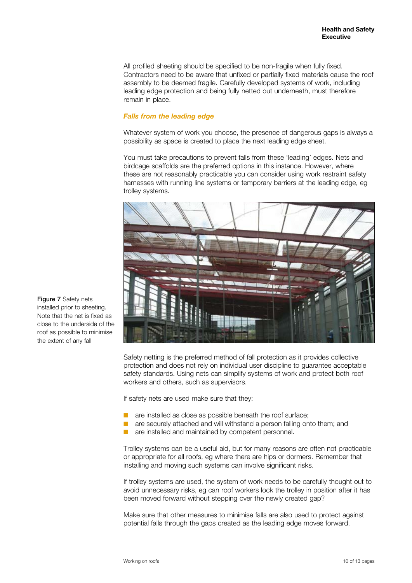All profiled sheeting should be specified to be non-fragile when fully fixed. Contractors need to be aware that unfixed or partially fixed materials cause the roof assembly to be deemed fragile. Carefully developed systems of work, including leading edge protection and being fully netted out underneath, must therefore remain in place.

#### *Falls from the leading edge*

Whatever system of work you choose, the presence of dangerous gaps is always a possibility as space is created to place the next leading edge sheet.

You must take precautions to prevent falls from these 'leading' edges. Nets and birdcage scaffolds are the preferred options in this instance. However, where these are not reasonably practicable you can consider using work restraint safety harnesses with running line systems or temporary barriers at the leading edge, eg trolley systems.



Safety netting is the preferred method of fall protection as it provides collective protection and does not rely on individual user discipline to guarantee acceptable safety standards. Using nets can simplify systems of work and protect both roof workers and others, such as supervisors.

If safety nets are used make sure that they:

- are installed as close as possible beneath the roof surface;
- are securely attached and will withstand a person falling onto them; and
- are installed and maintained by competent personnel.

Trolley systems can be a useful aid, but for many reasons are often not practicable or appropriate for all roofs, eg where there are hips or dormers. Remember that installing and moving such systems can involve significant risks.

If trolley systems are used, the system of work needs to be carefully thought out to avoid unnecessary risks, eg can roof workers lock the trolley in position after it has been moved forward without stepping over the newly created gap?

Make sure that other measures to minimise falls are also used to protect against potential falls through the gaps created as the leading edge moves forward.

Figure 7 Safety nets installed prior to sheeting. Note that the net is fixed as close to the underside of the roof as possible to minimise the extent of any fall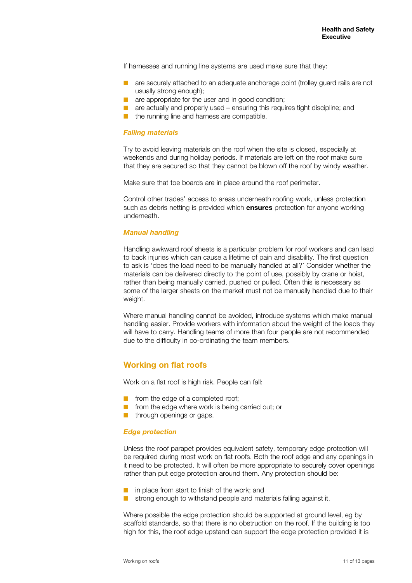If harnesses and running line systems are used make sure that they:

- are securely attached to an adequate anchorage point (trolley guard rails are not usually strong enough);
- are appropriate for the user and in good condition;
- are actually and properly used ensuring this requires tight discipline; and
- the running line and harness are compatible.

#### *Falling materials*

Try to avoid leaving materials on the roof when the site is closed, especially at weekends and during holiday periods. If materials are left on the roof make sure that they are secured so that they cannot be blown off the roof by windy weather.

Make sure that toe boards are in place around the roof perimeter.

Control other trades' access to areas underneath roofing work, unless protection such as debris netting is provided which **ensures** protection for anyone working underneath.

#### *Manual handling*

Handling awkward roof sheets is a particular problem for roof workers and can lead to back injuries which can cause a lifetime of pain and disability. The first question to ask is 'does the load need to be manually handled at all?' Consider whether the materials can be delivered directly to the point of use, possibly by crane or hoist, rather than being manually carried, pushed or pulled. Often this is necessary as some of the larger sheets on the market must not be manually handled due to their weight.

Where manual handling cannot be avoided, introduce systems which make manual handling easier. Provide workers with information about the weight of the loads they will have to carry. Handling teams of more than four people are not recommended due to the difficulty in co-ordinating the team members.

#### **Working on flat roofs**

Work on a flat roof is high risk. People can fall:

- from the edge of a completed roof;
- from the edge where work is being carried out; or
- through openings or gaps.

#### *Edge protection*

Unless the roof parapet provides equivalent safety, temporary edge protection will be required during most work on flat roofs. Both the roof edge and any openings in it need to be protected. It will often be more appropriate to securely cover openings rather than put edge protection around them. Any protection should be:

- in place from start to finish of the work; and
- strong enough to withstand people and materials falling against it.

Where possible the edge protection should be supported at ground level, eg by scaffold standards, so that there is no obstruction on the roof. If the building is too high for this, the roof edge upstand can support the edge protection provided it is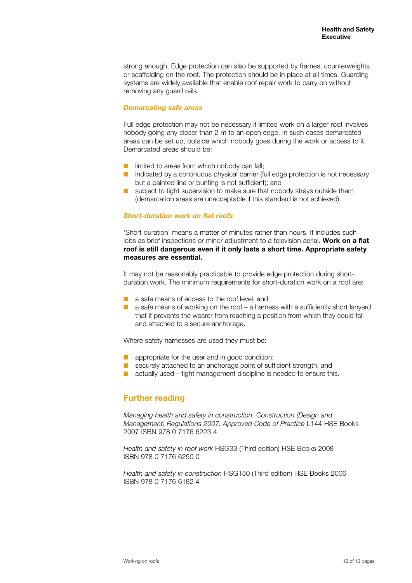strong enough. Edge protection can also be supported by frames, counterweights or scaffolding on the roof. The protection should be in place at all times. Guarding systems are widely available that enable roof repair work to carry on without removing any guard rails.

#### *Demarcating safe areas*

Full edge protection may not be necessary if limited work on a larger roof involves nobody going any closer than 2 m to an open edge. In such cases demarcated areas can be set up, outside which nobody goes during the work or access to it. Demarcated areas should be:

- limited to areas from which nobody can fall:
- indicated by a continuous physical barrier (full edge protection is not necessary but a painted line or bunting is not sufficient); and
- subject to tight supervision to make sure that nobody strays outside them (demarcation areas are unacceptable if this standard is not achieved).

#### *Short-duration work on flat roofs*

'Short duration' means a matter of minutes rather than hours. It includes such jobs as brief inspections or minor adjustment to a television aerial. **Work on a flat roof is still dangerous even if it only lasts a short time. Appropriate safety measures are essential.** 

It may not be reasonably practicable to provide edge protection during shortduration work. The minimum requirements for short-duration work on a roof are:

- a safe means of access to the roof level; and
- a safe means of working on the roof a harness with a sufficiently short lanyard that it prevents the wearer from reaching a position from which they could fall and attached to a secure anchorage.

Where safety harnesses are used they must be:

- appropriate for the user and in good condition;
- securely attached to an anchorage point of sufficient strength; and
- actually used tight management discipline is needed to ensure this.

# **Further reading**

*Managing health and safety in construction. Construction (Design and Management) Regulations 2007. Approved Code of Practice* L144 HSE Books 2007 ISBN 978 0 7176 6223 4

*Health and safety in roof work* HSG33 (Third edition) HSE Books 2008 ISBN 978 0 7176 6250 0

*Health and safety in construction* HSG150 (Third edition) HSE Books 2006 ISBN 978 0 7176 6182 4